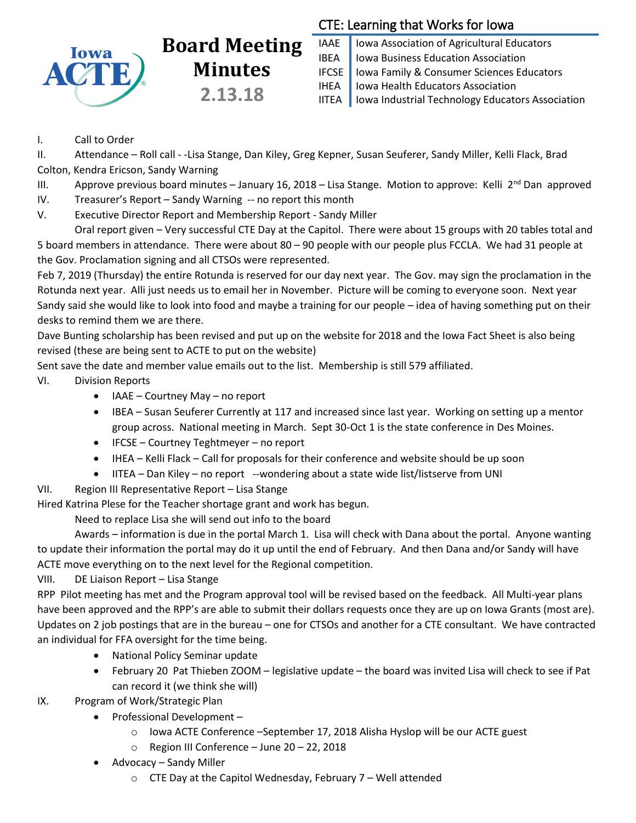

## **Board Meeting Minutes 2.13.18**

## CTE: Learning that Works for Iowa

IAAE | Iowa Association of Agricultural Educators IBEA | Iowa Business Education Association IFCSE Iowa Family & Consumer Sciences Educators IHEA | Iowa Health Educators Association IITEA | Iowa Industrial Technology Educators Association

## I. Call to Order

II. Attendance – Roll call - -Lisa Stange, Dan Kiley, Greg Kepner, Susan Seuferer, Sandy Miller, Kelli Flack, Brad Colton, Kendra Ericson, Sandy Warning

III. Approve previous board minutes – January 16, 2018 – Lisa Stange. Motion to approve: Kelli 2<sup>nd</sup> Dan approved

IV. Treasurer's Report – Sandy Warning -- no report this month

V. Executive Director Report and Membership Report - Sandy Miller

Oral report given – Very successful CTE Day at the Capitol. There were about 15 groups with 20 tables total and 5 board members in attendance. There were about 80 – 90 people with our people plus FCCLA. We had 31 people at the Gov. Proclamation signing and all CTSOs were represented.

Feb 7, 2019 (Thursday) the entire Rotunda is reserved for our day next year. The Gov. may sign the proclamation in the Rotunda next year. Alli just needs us to email her in November. Picture will be coming to everyone soon. Next year Sandy said she would like to look into food and maybe a training for our people – idea of having something put on their desks to remind them we are there.

Dave Bunting scholarship has been revised and put up on the website for 2018 and the Iowa Fact Sheet is also being revised (these are being sent to ACTE to put on the website)

Sent save the date and member value emails out to the list. Membership is still 579 affiliated.

- VI. Division Reports
	- IAAE Courtney May no report
	- IBEA Susan Seuferer Currently at 117 and increased since last year. Working on setting up a mentor group across. National meeting in March. Sept 30-Oct 1 is the state conference in Des Moines.
	- IFCSE Courtney Teghtmeyer no report
	- IHEA Kelli Flack Call for proposals for their conference and website should be up soon
	- IITEA Dan Kiley no report --wondering about a state wide list/listserve from UNI
- VII. Region III Representative Report Lisa Stange

Hired Katrina Plese for the Teacher shortage grant and work has begun.

Need to replace Lisa she will send out info to the board

Awards – information is due in the portal March 1. Lisa will check with Dana about the portal. Anyone wanting to update their information the portal may do it up until the end of February. And then Dana and/or Sandy will have ACTE move everything on to the next level for the Regional competition.

VIII. DE Liaison Report – Lisa Stange

RPP Pilot meeting has met and the Program approval tool will be revised based on the feedback. All Multi-year plans have been approved and the RPP's are able to submit their dollars requests once they are up on Iowa Grants (most are). Updates on 2 job postings that are in the bureau – one for CTSOs and another for a CTE consultant. We have contracted an individual for FFA oversight for the time being.

- National Policy Seminar update
- February 20 Pat Thieben ZOOM legislative update the board was invited Lisa will check to see if Pat can record it (we think she will)

IX. Program of Work/Strategic Plan

- Professional Development
	- o Iowa ACTE Conference –September 17, 2018 Alisha Hyslop will be our ACTE guest
	- o Region III Conference June 20 22, 2018
- Advocacy Sandy Miller
	- o CTE Day at the Capitol Wednesday, February 7 Well attended